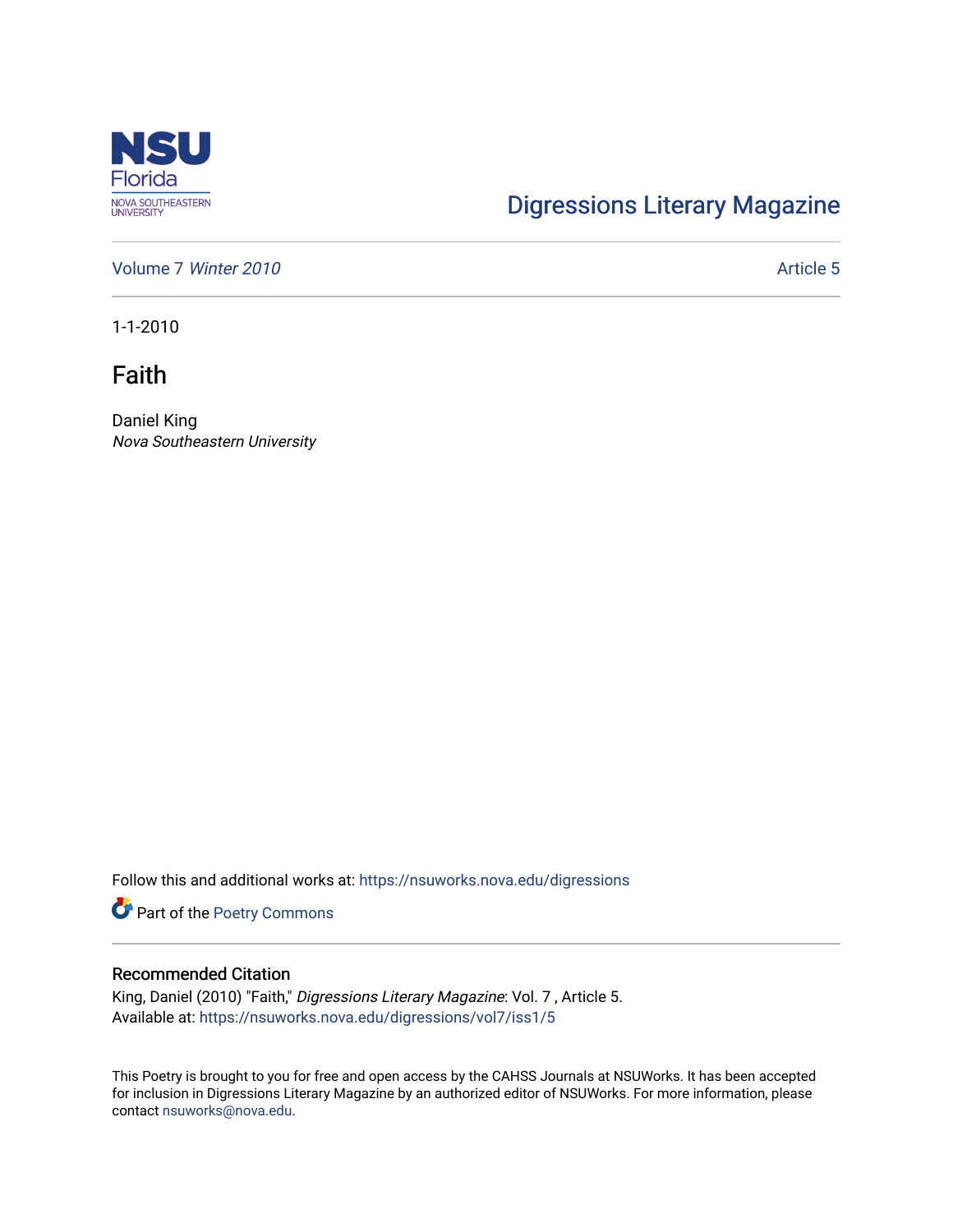

## [Digressions Literary Magazine](https://nsuworks.nova.edu/digressions)

[Volume 7](https://nsuworks.nova.edu/digressions/vol7) Winter 2010 Article 5

1-1-2010

Faith

Daniel King Nova Southeastern University

Follow this and additional works at: [https://nsuworks.nova.edu/digressions](https://nsuworks.nova.edu/digressions?utm_source=nsuworks.nova.edu%2Fdigressions%2Fvol7%2Fiss1%2F5&utm_medium=PDF&utm_campaign=PDFCoverPages) 

Part of the [Poetry Commons](http://network.bepress.com/hgg/discipline/1153?utm_source=nsuworks.nova.edu%2Fdigressions%2Fvol7%2Fiss1%2F5&utm_medium=PDF&utm_campaign=PDFCoverPages) 

## Recommended Citation

King, Daniel (2010) "Faith," Digressions Literary Magazine: Vol. 7 , Article 5. Available at: [https://nsuworks.nova.edu/digressions/vol7/iss1/5](https://nsuworks.nova.edu/digressions/vol7/iss1/5?utm_source=nsuworks.nova.edu%2Fdigressions%2Fvol7%2Fiss1%2F5&utm_medium=PDF&utm_campaign=PDFCoverPages) 

This Poetry is brought to you for free and open access by the CAHSS Journals at NSUWorks. It has been accepted for inclusion in Digressions Literary Magazine by an authorized editor of NSUWorks. For more information, please contact [nsuworks@nova.edu.](mailto:nsuworks@nova.edu)